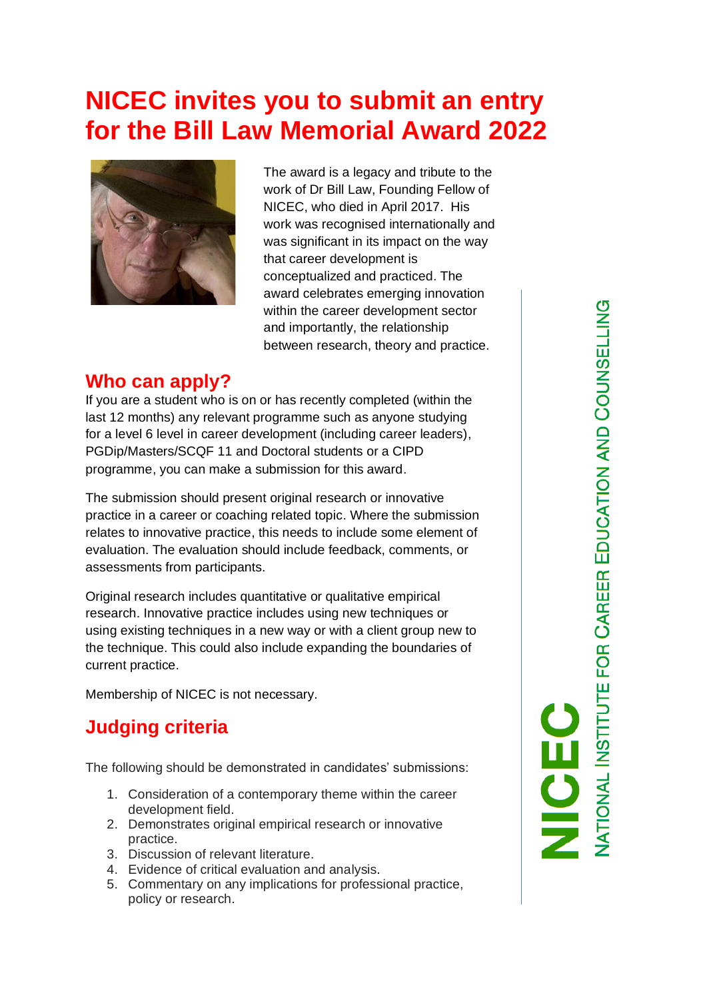# **NICEC invites you to submit an entry for the Bill Law Memorial Award 2022**



The award is a legacy and tribute to the work of Dr Bill Law, Founding Fellow of NICEC, who died in April 2017. His work was recognised internationally and was significant in its impact on the way that career development is conceptualized and practiced. The award celebrates emerging innovation within the career development sector and importantly, the relationship between research, theory and practice.

#### **Who can apply?**

If you are a student who is on or has recently completed (within the last 12 months) any relevant programme such as anyone studying for a level 6 level in career development (including career leaders), PGDip/Masters/SCQF 11 and Doctoral students or a CIPD programme, you can make a submission for this award.

The submission should present original research or innovative practice in a career or coaching related topic. Where the submission relates to innovative practice, this needs to include some element of evaluation. The evaluation should include feedback, comments, or assessments from participants.

Original research includes quantitative or qualitative empirical research. Innovative practice includes using new techniques or using existing techniques in a new way or with a client group new to the technique. This could also include expanding the boundaries of current practice.

Membership of NICEC is not necessary.

## **Judging criteria**

The following should be demonstrated in candidates' submissions:

- 1. Consideration of a contemporary theme within the career development field.
- 2. Demonstrates original empirical research or innovative practice.
- 3. Discussion of relevant literature.
- 4. Evidence of critical evaluation and analysis.
- 5. Commentary on any implications for professional practice, policy or research.